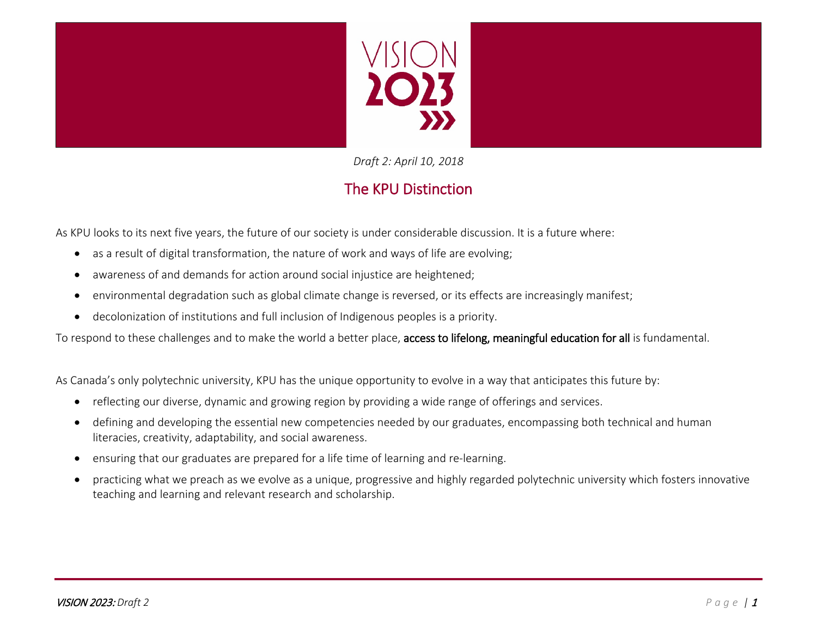



*Draft 2: April 10, 2018*

# The KPU Distinction

As KPU looks to its next five years, the future of our society is under considerable discussion. It is a future where:

- as a result of digital transformation, the nature of work and ways of life are evolving;
- awareness of and demands for action around social injustice are heightened;
- environmental degradation such as global climate change is reversed, or its effects are increasingly manifest;
- decolonization of institutions and full inclusion of Indigenous peoples is a priority.

To respond to these challenges and to make the world a better place, access to lifelong, meaningful education for all is fundamental.

As Canada's only polytechnic university, KPU has the unique opportunity to evolve in a way that anticipates this future by:

- reflecting our diverse, dynamic and growing region by providing a wide range of offerings and services.
- defining and developing the essential new competencies needed by our graduates, encompassing both technical and human literacies, creativity, adaptability, and social awareness.
- ensuring that our graduates are prepared for a life time of learning and re-learning.
- practicing what we preach as we evolve as a unique, progressive and highly regarded polytechnic university which fosters innovative teaching and learning and relevant research and scholarship.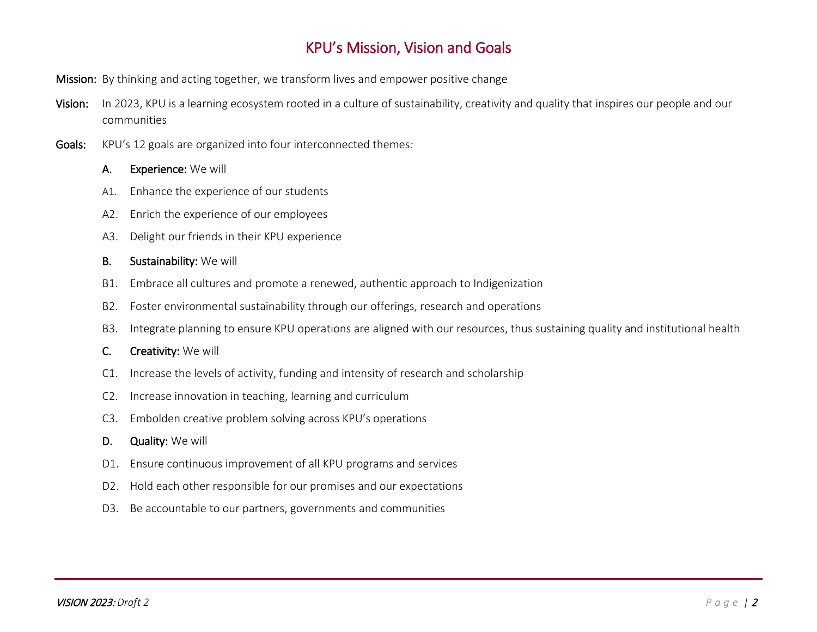## KPU's Mission, Vision and Goals

- Mission: By thinking and acting together, we transform lives and empower positive change
- Vision: In 2023, KPU is a learning ecosystem rooted in a culture of sustainability, creativity and quality that inspires our people and our communities
- Goals: KPU's 12 goals are organized into four interconnected themes*:*
	- A. Experience: We will
	- A1. Enhance the experience of our students
	- A2. Enrich the experience of our employees
	- A3. Delight our friends in their KPU experience
	- B. Sustainability: We will
	- B1. Embrace all cultures and promote a renewed, authentic approach to Indigenization
	- B2. Foster environmental sustainability through our offerings, research and operations
	- B3. Integrate planning to ensure KPU operations are aligned with our resources, thus sustaining quality and institutional health
	- C. Creativity: We will
	- C1. Increase the levels of activity, funding and intensity of research and scholarship
	- C2. Increase innovation in teaching, learning and curriculum
	- C3. Embolden creative problem solving across KPU's operations
	- D. Quality: We will
	- D1. Ensure continuous improvement of all KPU programs and services
	- D2. Hold each other responsible for our promises and our expectations
	- D3. Be accountable to our partners, governments and communities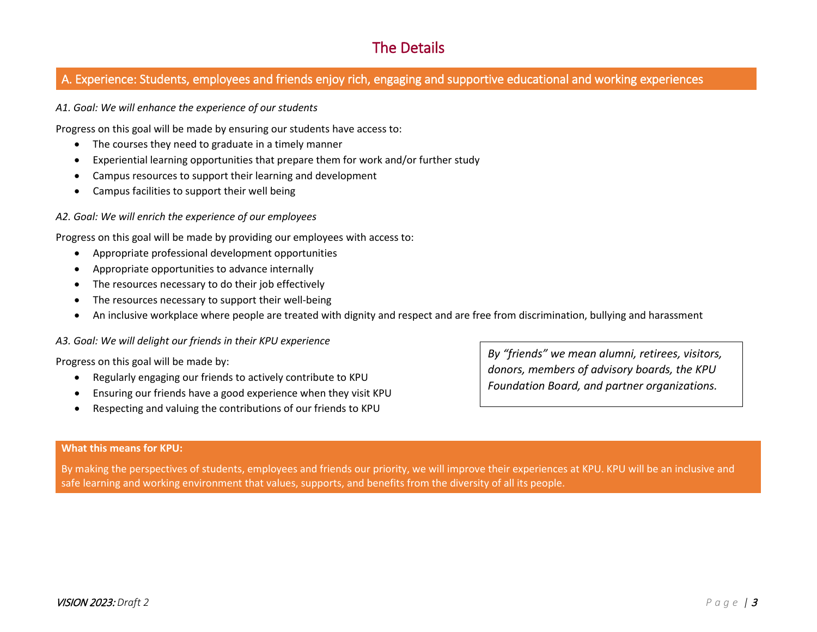## The Details

## A. Experience: Students, employees and friends enjoy rich, engaging and supportive educational and working experiences

*A1. Goal: We will enhance the experience of our students*

Progress on this goal will be made by ensuring our students have access to:

- The courses they need to graduate in a timely manner
- Experiential learning opportunities that prepare them for work and/or further study
- Campus resources to support their learning and development
- Campus facilities to support their well being

#### *A2. Goal: We will enrich the experience of our employees*

Progress on this goal will be made by providing our employees with access to:

- Appropriate professional development opportunities
- Appropriate opportunities to advance internally
- The resources necessary to do their job effectively
- The resources necessary to support their well-being
- An inclusive workplace where people are treated with dignity and respect and are free from discrimination, bullying and harassment

#### *A3. Goal: We will delight our friends in their KPU experience*

Progress on this goal will be made by:

- Regularly engaging our friends to actively contribute to KPU
- Ensuring our friends have a good experience when they visit KPU
- Respecting and valuing the contributions of our friends to KPU

*By "friends" we mean alumni, retirees, visitors, donors, members of advisory boards, the KPU Foundation Board, and partner organizations.*

#### **What this means for KPU:**

By making the perspectives of students, employees and friends our priority, we will improve their experiences at KPU. KPU will be an inclusive and safe learning and working environment that values, supports, and benefits from the diversity of all its people.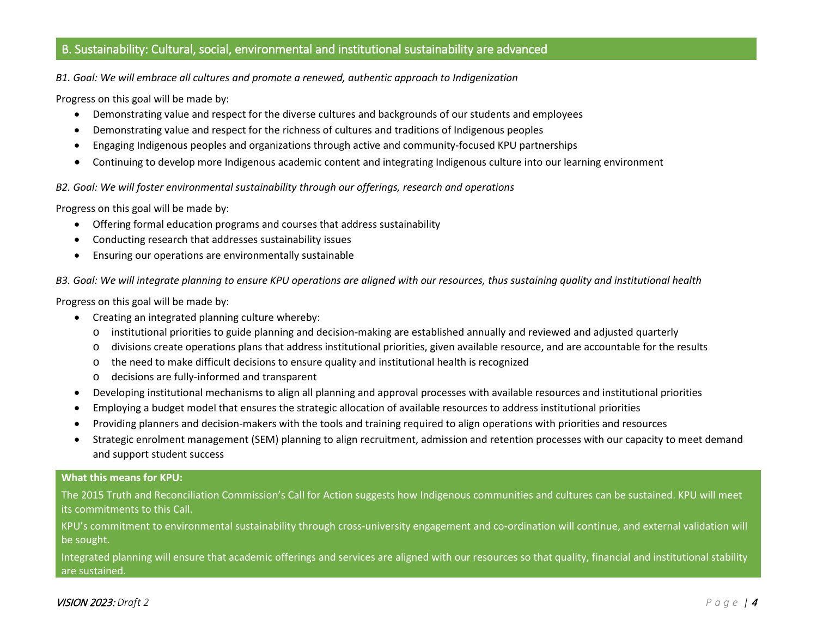### B. Sustainability: Cultural, social, environmental and institutional sustainability are advanced

*B1. Goal: We will embrace all cultures and promote a renewed, authentic approach to Indigenization*

Progress on this goal will be made by:

- Demonstrating value and respect for the diverse cultures and backgrounds of our students and employees
- Demonstrating value and respect for the richness of cultures and traditions of Indigenous peoples
- Engaging Indigenous peoples and organizations through active and community-focused KPU partnerships
- Continuing to develop more Indigenous academic content and integrating Indigenous culture into our learning environment

*B2. Goal: We will foster environmental sustainability through our offerings, research and operations*

Progress on this goal will be made by:

- Offering formal education programs and courses that address sustainability
- Conducting research that addresses sustainability issues
- Ensuring our operations are environmentally sustainable

*B3. Goal: We will integrate planning to ensure KPU operations are aligned with our resources, thus sustaining quality and institutional health*

Progress on this goal will be made by:

- Creating an integrated planning culture whereby:
	- o institutional priorities to guide planning and decision-making are established annually and reviewed and adjusted quarterly
	- o divisions create operations plans that address institutional priorities, given available resource, and are accountable for the results
	- o the need to make difficult decisions to ensure quality and institutional health is recognized
	- o decisions are fully-informed and transparent
- Developing institutional mechanisms to align all planning and approval processes with available resources and institutional priorities
- Employing a budget model that ensures the strategic allocation of available resources to address institutional priorities
- Providing planners and decision-makers with the tools and training required to align operations with priorities and resources
- Strategic enrolment management (SEM) planning to align recruitment, admission and retention processes with our capacity to meet demand and support student success

#### **What this means for KPU:**

The 2015 Truth and Reconciliation Commission's Call for Action suggests how Indigenous communities and cultures can be sustained. KPU will meet its commitments to this Call.

KPU's commitment to environmental sustainability through cross-university engagement and co-ordination will continue, and external validation will be sought.

Integrated planning will ensure that academic offerings and services are aligned with our resources so that quality, financial and institutional stability are sustained.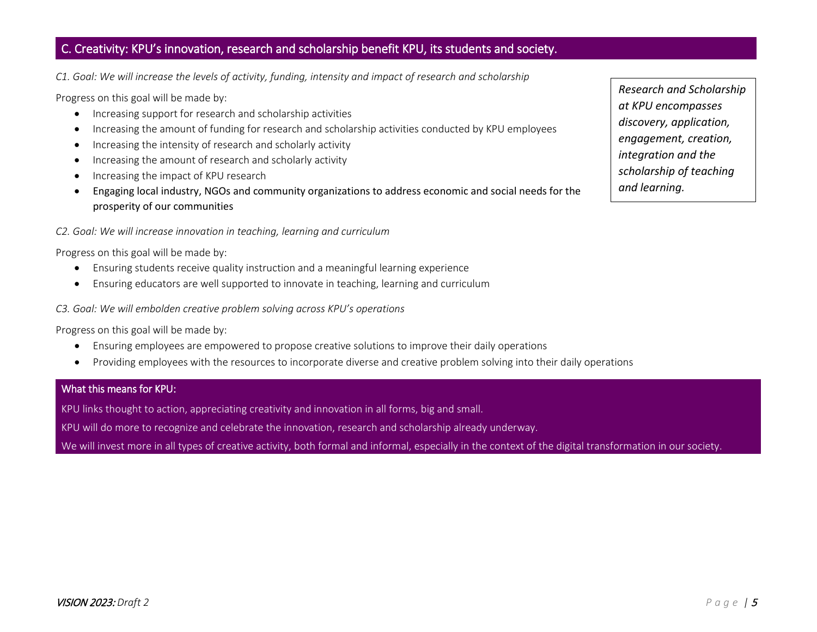### C. Creativity: KPU's innovation, research and scholarship benefit KPU, its students and society.

*C1. Goal: We will increase the levels of activity, funding, intensity and impact of research and scholarship*

Progress on this goal will be made by:

- Increasing support for research and scholarship activities
- Increasing the amount of funding for research and scholarship activities conducted by KPU employees
- Increasing the intensity of research and scholarly activity
- Increasing the amount of research and scholarly activity
- Increasing the impact of KPU research
- Engaging local industry, NGOs and community organizations to address economic and social needs for the prosperity of our communities

#### *C2. Goal: We will increase innovation in teaching, learning and curriculum*

Progress on this goal will be made by:

- Ensuring students receive quality instruction and a meaningful learning experience
- Ensuring educators are well supported to innovate in teaching, learning and curriculum

*C3. Goal: We will embolden creative problem solving across KPU's operations*

Progress on this goal will be made by:

- Ensuring employees are empowered to propose creative solutions to improve their daily operations
- Providing employees with the resources to incorporate diverse and creative problem solving into their daily operations

#### What this means for KPU:

KPU links thought to action, appreciating creativity and innovation in all forms, big and small.

KPU will do more to recognize and celebrate the innovation, research and scholarship already underway.

We will invest more in all types of creative activity, both formal and informal, especially in the context of the digital transformation in our society.

*Research and Scholarship at KPU encompasses discovery, application, engagement, creation, integration and the scholarship of teaching and learning.*